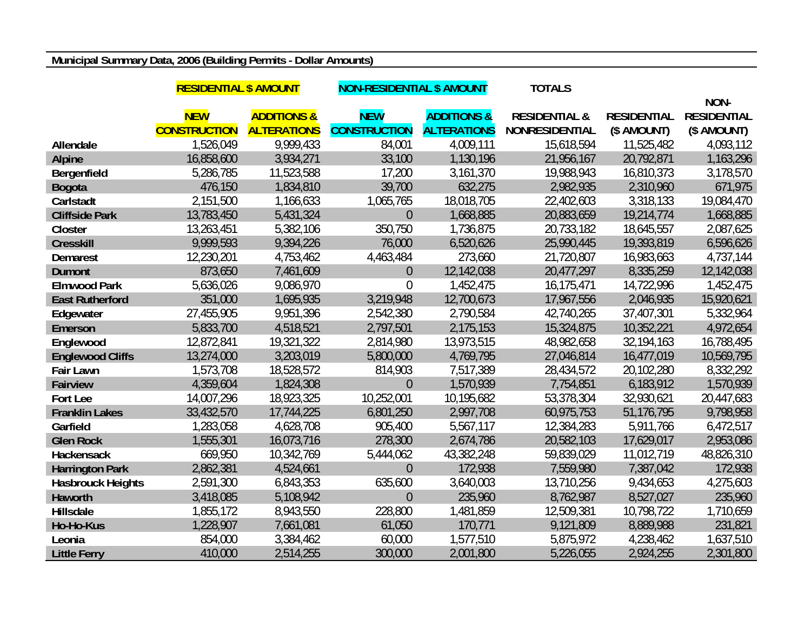## **Municipal Summary Data, 2006 (Building Permits - Dollar Amounts)**

|                          | <b>RESIDENTIAL \$ AMOUNT</b> |                        | <b>NON-RESIDENTIAL \$ AMOUNT</b> |                        | <b>TOTALS</b>            |                    |                    |
|--------------------------|------------------------------|------------------------|----------------------------------|------------------------|--------------------------|--------------------|--------------------|
|                          |                              |                        |                                  |                        |                          |                    | NON-               |
|                          | <b>NEW</b>                   | <b>ADDITIONS &amp;</b> | <b>NEW</b>                       | <b>ADDITIONS &amp;</b> | <b>RESIDENTIAL &amp;</b> | <b>RESIDENTIAL</b> | <b>RESIDENTIAL</b> |
|                          | <b>CONSTRUCTION</b>          | <b>ALTERATIONS</b>     | <b>CONSTRUCTION</b>              | <b>ALTERATIONS</b>     | <b>NONRESIDENTIAL</b>    | (\$ AMOUNT)        | (\$ AMOUNT)        |
| Allendale                | 1,526,049                    | 9,999,433              | 84,001                           | 4,009,111              | 15,618,594               | 11,525,482         | 4,093,112          |
| <b>Alpine</b>            | 16,858,600                   | 3,934,271              | 33,100                           | 1,130,196              | 21,956,167               | 20,792,871         | 1,163,296          |
| Bergenfield              | 5,286,785                    | 11,523,588             | 17,200                           | 3,161,370              | 19,988,943               | 16,810,373         | 3,178,570          |
| <b>Bogota</b>            | 476,150                      | 1,834,810              | 39,700                           | 632,275                | 2,982,935                | 2,310,960          | 671,975            |
| Carlstadt                | 2,151,500                    | 1,166,633              | 1,065,765                        | 18,018,705             | 22,402,603               | 3,318,133          | 19,084,470         |
| <b>Cliffside Park</b>    | 13,783,450                   | 5,431,324              | $\overline{0}$                   | 1,668,885              | 20,883,659               | 19,214,774         | 1,668,885          |
| Closter                  | 13,263,451                   | 5,382,106              | 350,750                          | 1,736,875              | 20,733,182               | 18,645,557         | 2,087,625          |
| <b>Cresskill</b>         | 9,999,593                    | 9,394,226              | 76,000                           | 6,520,626              | 25,990,445               | 19,393,819         | 6,596,626          |
| <b>Demarest</b>          | 12,230,201                   | 4,753,462              | 4,463,484                        | 273,660                | 21,720,807               | 16,983,663         | 4,737,144          |
| <b>Dumont</b>            | 873,650                      | 7,461,609              | $\theta$                         | 12,142,038             | 20,477,297               | 8,335,259          | 12,142,038         |
| <b>Elmwood Park</b>      | 5,636,026                    | 9,086,970              | $\overline{0}$                   | 1,452,475              | 16,175,471               | 14,722,996         | 1,452,475          |
| <b>East Rutherford</b>   | 351,000                      | 1,695,935              | 3,219,948                        | 12,700,673             | 17,967,556               | 2,046,935          | 15,920,621         |
| Edgewater                | 27,455,905                   | 9,951,396              | 2,542,380                        | 2,790,584              | 42,740,265               | 37,407,301         | 5,332,964          |
| Emerson                  | 5,833,700                    | 4,518,521              | 2,797,501                        | 2,175,153              | 15,324,875               | 10,352,221         | 4,972,654          |
| Englewood                | 12,872,841                   | 19,321,322             | 2,814,980                        | 13,973,515             | 48,982,658               | 32,194,163         | 16,788,495         |
| <b>Englewood Cliffs</b>  | 13,274,000                   | 3,203,019              | 5,800,000                        | 4,769,795              | 27,046,814               | 16,477,019         | 10,569,795         |
| <b>Fair Lawn</b>         | 1,573,708                    | 18,528,572             | 814,903                          | 7,517,389              | 28,434,572               | 20,102,280         | 8,332,292          |
| <b>Fairview</b>          | 4,359,604                    | 1,824,308              | $\overline{0}$                   | 1,570,939              | 7,754,851                | 6,183,912          | 1,570,939          |
| Fort Lee                 | 14,007,296                   | 18,923,325             | 10,252,001                       | 10,195,682             | 53,378,304               | 32,930,621         | 20,447,683         |
| <b>Franklin Lakes</b>    | 33,432,570                   | 17,744,225             | 6,801,250                        | 2,997,708              | 60,975,753               | 51,176,795         | 9,798,958          |
| Garfield                 | 1,283,058                    | 4,628,708              | 905,400                          | 5,567,117              | 12,384,283               | 5,911,766          | 6,472,517          |
| <b>Glen Rock</b>         | 1,555,301                    | 16,073,716             | 278,300                          | 2,674,786              | 20,582,103               | 17,629,017         | 2,953,086          |
| <b>Hackensack</b>        | 669,950                      | 10,342,769             | 5,444,062                        | 43,382,248             | 59,839,029               | 11,012,719         | 48,826,310         |
| <b>Harrington Park</b>   | 2,862,381                    | 4,524,661              | $\overline{0}$                   | 172,938                | 7,559,980                | 7,387,042          | 172,938            |
| <b>Hasbrouck Heights</b> | 2,591,300                    | 6,843,353              | 635,600                          | 3,640,003              | 13,710,256               | 9,434,653          | 4,275,603          |
| Haworth                  | 3,418,085                    | 5,108,942              | $\overline{0}$                   | 235,960                | 8,762,987                | 8,527,027          | 235,960            |
| Hillsdale                | 1,855,172                    | 8,943,550              | 228,800                          | 1,481,859              | 12,509,381               | 10,798,722         | 1,710,659          |
| Ho-Ho-Kus                | 1,228,907                    | 7,661,081              | 61,050                           | 170,771                | 9,121,809                | 8,889,988          | 231,821            |
| Leonia                   | 854,000                      | 3,384,462              | 60,000                           | 1,577,510              | 5,875,972                | 4,238,462          | 1,637,510          |
| <b>Little Ferry</b>      | 410,000                      | 2,514,255              | 300,000                          | 2,001,800              | 5,226,055                | 2,924,255          | 2,301,800          |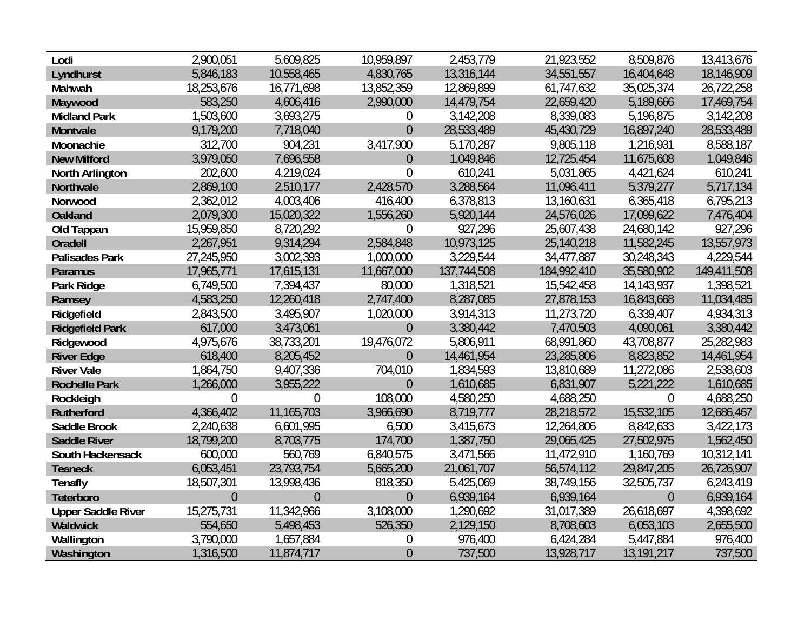| Lodi                      | 2,900,051      | 5,609,825      | 10,959,897       | 2,453,779   | 21,923,552  | 8,509,876      | 13,413,676  |
|---------------------------|----------------|----------------|------------------|-------------|-------------|----------------|-------------|
| Lyndhurst                 | 5,846,183      | 10,558,465     | 4,830,765        | 13,316,144  | 34,551,557  | 16,404,648     | 18,146,909  |
| Mahwah                    | 18,253,676     | 16,771,698     | 13,852,359       | 12,869,899  | 61,747,632  | 35,025,374     | 26,722,258  |
| Maywood                   | 583,250        | 4,606,416      | 2,990,000        | 14,479,754  | 22,659,420  | 5,189,666      | 17,469,754  |
| <b>Midland Park</b>       | 1,503,600      | 3,693,275      | 0                | 3,142,208   | 8,339,083   | 5,196,875      | 3,142,208   |
| Montvale                  | 9,179,200      | 7,718,040      | $\overline{0}$   | 28,533,489  | 45,430,729  | 16,897,240     | 28,533,489  |
| Moonachie                 | 312,700        | 904,231        | 3,417,900        | 5,170,287   | 9,805,118   | 1,216,931      | 8,588,187   |
| <b>New Milford</b>        | 3,979,050      | 7,696,558      | $\theta$         | 1,049,846   | 12,725,454  | 11,675,608     | 1,049,846   |
| North Arlington           | 202,600        | 4,219,024      | $\overline{0}$   | 610,241     | 5,031,865   | 4,421,624      | 610,241     |
| Northvale                 | 2,869,100      | 2,510,177      | 2,428,570        | 3,288,564   | 11,096,411  | 5,379,277      | 5,717,134   |
| Norwood                   | 2,362,012      | 4,003,406      | 416,400          | 6,378,813   | 13,160,631  | 6,365,418      | 6,795,213   |
| <b>Oakland</b>            | 2,079,300      | 15,020,322     | 1,556,260        | 5,920,144   | 24,576,026  | 17,099,622     | 7,476,404   |
| Old Tappan                | 15,959,850     | 8,720,292      | $\boldsymbol{0}$ | 927,296     | 25,607,438  | 24,680,142     | 927,296     |
| <b>Oradell</b>            | 2,267,951      | 9,314,294      | 2,584,848        | 10,973,125  | 25,140,218  | 11,582,245     | 13,557,973  |
| <b>Palisades Park</b>     | 27,245,950     | 3,002,393      | 1,000,000        | 3,229,544   | 34,477,887  | 30,248,343     | 4,229,544   |
| Paramus                   | 17,965,771     | 17,615,131     | 11,667,000       | 137,744,508 | 184,992,410 | 35,580,902     | 149,411,508 |
| Park Ridge                | 6,749,500      | 7,394,437      | 80,000           | 1,318,521   | 15,542,458  | 14,143,937     | 1,398,521   |
| Ramsey                    | 4,583,250      | 12,260,418     | 2,747,400        | 8,287,085   | 27,878,153  | 16,843,668     | 11,034,485  |
| Ridgefield                | 2,843,500      | 3,495,907      | 1,020,000        | 3,914,313   | 11,273,720  | 6,339,407      | 4,934,313   |
| <b>Ridgefield Park</b>    | 617,000        | 3,473,061      | $\overline{0}$   | 3,380,442   | 7,470,503   | 4,090,061      | 3,380,442   |
| Ridgewood                 | 4,975,676      | 38,733,201     | 19,476,072       | 5,806,911   | 68,991,860  | 43,708,877     | 25,282,983  |
| <b>River Edge</b>         | 618,400        | 8,205,452      | $\overline{0}$   | 14,461,954  | 23,285,806  | 8,823,852      | 14,461,954  |
| <b>River Vale</b>         | 1,864,750      | 9,407,336      | 704,010          | 1,834,593   | 13,810,689  | 11,272,086     | 2,538,603   |
| <b>Rochelle Park</b>      | 1,266,000      | 3,955,222      | $\overline{0}$   | 1,610,685   | 6,831,907   | 5,221,222      | 1,610,685   |
| Rockleigh                 | $\theta$       | $\overline{0}$ | 108,000          | 4,580,250   | 4,688,250   | $\overline{0}$ | 4,688,250   |
| <b>Rutherford</b>         | 4,366,402      | 11,165,703     | 3,966,690        | 8,719,777   | 28,218,572  | 15,532,105     | 12,686,467  |
| Saddle Brook              | 2,240,638      | 6,601,995      | 6,500            | 3,415,673   | 12,264,806  | 8,842,633      | 3,422,173   |
| <b>Saddle River</b>       | 18,799,200     | 8,703,775      | 174,700          | 1,387,750   | 29,065,425  | 27,502,975     | 1,562,450   |
| South Hackensack          | 600,000        | 560,769        | 6,840,575        | 3,471,566   | 11,472,910  | 1,160,769      | 10,312,141  |
| <b>Teaneck</b>            | 6,053,451      | 23,793,754     | 5,665,200        | 21,061,707  | 56,574,112  | 29,847,205     | 26,726,907  |
| <b>Tenafly</b>            | 18,507,301     | 13,998,436     | 818,350          | 5,425,069   | 38,749,156  | 32,505,737     | 6,243,419   |
| Teterboro                 | $\overline{0}$ | $\overline{0}$ | $\overline{0}$   | 6,939,164   | 6,939,164   | $\overline{0}$ | 6,939,164   |
| <b>Upper Saddle River</b> | 15,275,731     | 11,342,966     | 3,108,000        | 1,290,692   | 31,017,389  | 26,618,697     | 4,398,692   |
| <b>Waldwick</b>           | 554,650        | 5,498,453      | 526,350          | 2,129,150   | 8,708,603   | 6,053,103      | 2,655,500   |
| Wallington                | 3,790,000      | 1,657,884      | $\boldsymbol{0}$ | 976,400     | 6,424,284   | 5,447,884      | 976,400     |
| Washington                | 1,316,500      | 11,874,717     | $\theta$         | 737,500     | 13,928,717  | 13,191,217     | 737,500     |